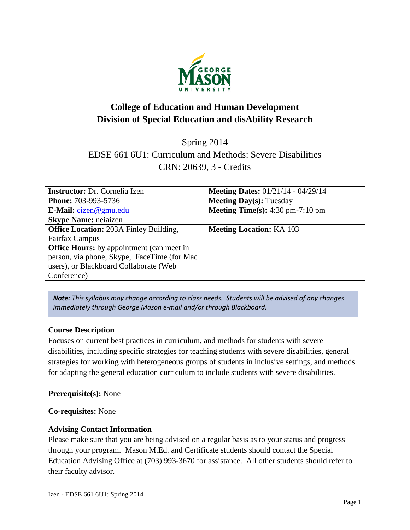

# **College of Education and Human Development Division of Special Education and disAbility Research**

Spring 2014

EDSE 661 6U1: Curriculum and Methods: Severe Disabilities CRN: 20639, 3 - Credits

| <b>Instructor:</b> Dr. Cornelia Izen             | <b>Meeting Dates:</b> $01/21/14 - 04/29/14$               |
|--------------------------------------------------|-----------------------------------------------------------|
| <b>Phone: 703-993-5736</b>                       | <b>Meeting Day(s): Tuesday</b>                            |
| E-Mail: $cizen@gmu.edu$                          | <b>Meeting Time(s):</b> $4:30 \text{ pm}-7:10 \text{ pm}$ |
| <b>Skype Name: neiaizen</b>                      |                                                           |
| <b>Office Location: 203A Finley Building,</b>    | <b>Meeting Location: KA 103</b>                           |
| <b>Fairfax Campus</b>                            |                                                           |
| <b>Office Hours:</b> by appointment (can meet in |                                                           |
| person, via phone, Skype, FaceTime (for Mac)     |                                                           |
| users), or Blackboard Collaborate (Web           |                                                           |
| Conference)                                      |                                                           |

*Note: This syllabus may change according to class needs. Students will be advised of any changes immediately through George Mason e-mail and/or through Blackboard.*

## **Course Description**

Focuses on current best practices in curriculum, and methods for students with severe disabilities, including specific strategies for teaching students with severe disabilities, general strategies for working with heterogeneous groups of students in inclusive settings, and methods for adapting the general education curriculum to include students with severe disabilities.

## **Prerequisite(s):** None

## **Co-requisites:** None

## **Advising Contact Information**

Please make sure that you are being advised on a regular basis as to your status and progress through your program. Mason M.Ed. and Certificate students should contact the Special Education Advising Office at (703) 993-3670 for assistance. All other students should refer to their faculty advisor.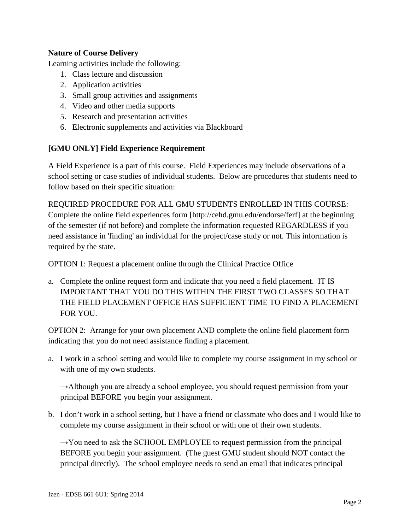# **Nature of Course Delivery**

Learning activities include the following:

- 1. Class lecture and discussion
- 2. Application activities
- 3. Small group activities and assignments
- 4. Video and other media supports
- 5. Research and presentation activities
- 6. Electronic supplements and activities via Blackboard

## **[GMU ONLY] Field Experience Requirement**

A Field Experience is a part of this course. Field Experiences may include observations of a school setting or case studies of individual students. Below are procedures that students need to follow based on their specific situation:

REQUIRED PROCEDURE FOR ALL GMU STUDENTS ENROLLED IN THIS COURSE: Complete the online field experiences form [http://cehd.gmu.edu/endorse/ferf] at the beginning of the semester (if not before) and complete the information requested REGARDLESS if you need assistance in 'finding' an individual for the project/case study or not. This information is required by the state.

OPTION 1: Request a placement online through the Clinical Practice Office

a. Complete the online request form and indicate that you need a field placement. IT IS IMPORTANT THAT YOU DO THIS WITHIN THE FIRST TWO CLASSES SO THAT THE FIELD PLACEMENT OFFICE HAS SUFFICIENT TIME TO FIND A PLACEMENT FOR YOU.

OPTION 2: Arrange for your own placement AND complete the online field placement form indicating that you do not need assistance finding a placement.

a. I work in a school setting and would like to complete my course assignment in my school or with one of my own students.

 $\rightarrow$ Although you are already a school employee, you should request permission from your principal BEFORE you begin your assignment.

b. I don't work in a school setting, but I have a friend or classmate who does and I would like to complete my course assignment in their school or with one of their own students.

 $\rightarrow$ You need to ask the SCHOOL EMPLOYEE to request permission from the principal BEFORE you begin your assignment. (The guest GMU student should NOT contact the principal directly). The school employee needs to send an email that indicates principal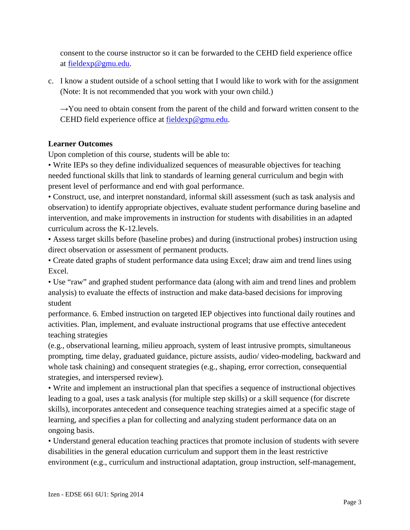consent to the course instructor so it can be forwarded to the CEHD field experience office at [fieldexp@gmu.edu.](mailto:fieldexp@gmu.edu)

c. I know a student outside of a school setting that I would like to work with for the assignment (Note: It is not recommended that you work with your own child.)

 $\rightarrow$ You need to obtain consent from the parent of the child and forward written consent to the CEHD field experience office at [fieldexp@gmu.edu.](mailto:fieldexp@gmu.edu)

# **Learner Outcomes**

Upon completion of this course, students will be able to:

• Write IEPs so they define individualized sequences of measurable objectives for teaching needed functional skills that link to standards of learning general curriculum and begin with present level of performance and end with goal performance.

• Construct, use, and interpret nonstandard, informal skill assessment (such as task analysis and observation) to identify appropriate objectives, evaluate student performance during baseline and intervention, and make improvements in instruction for students with disabilities in an adapted curriculum across the K-12.levels.

• Assess target skills before (baseline probes) and during (instructional probes) instruction using direct observation or assessment of permanent products.

• Create dated graphs of student performance data using Excel; draw aim and trend lines using Excel.

• Use "raw" and graphed student performance data (along with aim and trend lines and problem analysis) to evaluate the effects of instruction and make data-based decisions for improving student

performance. 6. Embed instruction on targeted IEP objectives into functional daily routines and activities. Plan, implement, and evaluate instructional programs that use effective antecedent teaching strategies

(e.g., observational learning, milieu approach, system of least intrusive prompts, simultaneous prompting, time delay, graduated guidance, picture assists, audio/ video-modeling, backward and whole task chaining) and consequent strategies (e.g., shaping, error correction, consequential strategies, and interspersed review).

• Write and implement an instructional plan that specifies a sequence of instructional objectives leading to a goal, uses a task analysis (for multiple step skills) or a skill sequence (for discrete skills), incorporates antecedent and consequence teaching strategies aimed at a specific stage of learning, and specifies a plan for collecting and analyzing student performance data on an ongoing basis.

• Understand general education teaching practices that promote inclusion of students with severe disabilities in the general education curriculum and support them in the least restrictive environment (e.g., curriculum and instructional adaptation, group instruction, self-management,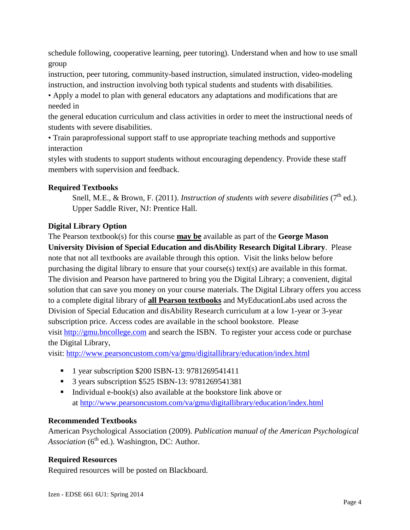schedule following, cooperative learning, peer tutoring). Understand when and how to use small group

instruction, peer tutoring, community-based instruction, simulated instruction, video-modeling instruction, and instruction involving both typical students and students with disabilities.

• Apply a model to plan with general educators any adaptations and modifications that are needed in

the general education curriculum and class activities in order to meet the instructional needs of students with severe disabilities.

• Train paraprofessional support staff to use appropriate teaching methods and supportive interaction

styles with students to support students without encouraging dependency. Provide these staff members with supervision and feedback.

# **Required Textbooks**

Snell, M.E., & Brown, F. (2011). *Instruction of students with severe disabilities* (7<sup>th</sup> ed.). Upper Saddle River, NJ: Prentice Hall.

# **Digital Library Option**

The Pearson textbook(s) for this course **may be** available as part of the **George Mason University Division of Special Education and disAbility Research Digital Library**. Please note that not all textbooks are available through this option. Visit the links below before purchasing the digital library to ensure that your course(s) text(s) are available in this format. The division and Pearson have partnered to bring you the Digital Library; a convenient, digital solution that can save you money on your course materials. The Digital Library offers you access to a complete digital library of **all Pearson textbooks** and MyEducationLabs used across the Division of Special Education and disAbility Research curriculum at a low 1-year or 3-year subscription price. Access codes are available in the school bookstore. Please visit [http://gmu.bncollege.com](http://gmu.bncollege.com/webapp/wcs/stores/servlet/BNCBHomePage?storeId=15552&catalogId=10001&langId=-1) and search the ISBN. To register your access code or purchase the Digital Library,

visit: <http://www.pearsoncustom.com/va/gmu/digitallibrary/education/index.html>

- 1 year subscription \$200 ISBN-13: 9781269541411
- **3** years subscription \$525 ISBN-13: 9781269541381
- Individual  $e\text{-}book(s)$  also available at the bookstore link above or at<http://www.pearsoncustom.com/va/gmu/digitallibrary/education/index.html>

## **Recommended Textbooks**

American Psychological Association (2009). *Publication manual of the American Psychological Association* (6<sup>th</sup> ed.). Washington, DC: Author.

# **Required Resources**

Required resources will be posted on Blackboard.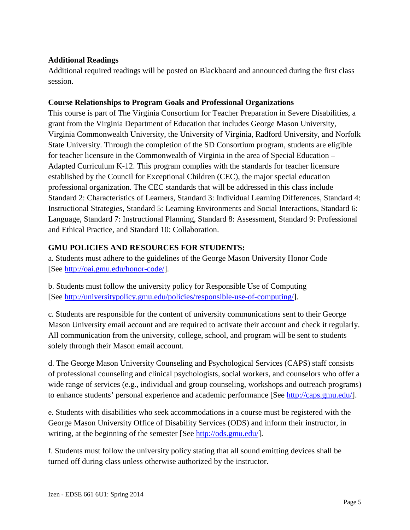## **Additional Readings**

Additional required readings will be posted on Blackboard and announced during the first class session.

#### **Course Relationships to Program Goals and Professional Organizations**

This course is part of The Virginia Consortium for Teacher Preparation in Severe Disabilities, a grant from the Virginia Department of Education that includes George Mason University, Virginia Commonwealth University, the University of Virginia, Radford University, and Norfolk State University. Through the completion of the SD Consortium program, students are eligible for teacher licensure in the Commonwealth of Virginia in the area of Special Education – Adapted Curriculum K-12. This program complies with the standards for teacher licensure established by the Council for Exceptional Children (CEC), the major special education professional organization. The CEC standards that will be addressed in this class include Standard 2: Characteristics of Learners, Standard 3: Individual Learning Differences, Standard 4: Instructional Strategies, Standard 5: Learning Environments and Social Interactions, Standard 6: Language, Standard 7: Instructional Planning, Standard 8: Assessment, Standard 9: Professional and Ethical Practice, and Standard 10: Collaboration.

# **GMU POLICIES AND RESOURCES FOR STUDENTS:**

a. Students must adhere to the guidelines of the George Mason University Honor Code [See [http://oai.gmu.edu/honor-code/\]](http://oai.gmu.edu/honor-code/).

b. Students must follow the university policy for Responsible Use of Computing [See [http://universitypolicy.gmu.edu/policies/responsible-use-of-computing/\]](http://universitypolicy.gmu.edu/policies/responsible-use-of-computing/).

c. Students are responsible for the content of university communications sent to their George Mason University email account and are required to activate their account and check it regularly. All communication from the university, college, school, and program will be sent to students solely through their Mason email account.

d. The George Mason University Counseling and Psychological Services (CAPS) staff consists of professional counseling and clinical psychologists, social workers, and counselors who offer a wide range of services (e.g., individual and group counseling, workshops and outreach programs) to enhance students' personal experience and academic performance [See [http://caps.gmu.edu/\]](http://caps.gmu.edu/).

e. Students with disabilities who seek accommodations in a course must be registered with the George Mason University Office of Disability Services (ODS) and inform their instructor, in writing, at the beginning of the semester [See [http://ods.gmu.edu/\]](http://ods.gmu.edu/).

f. Students must follow the university policy stating that all sound emitting devices shall be turned off during class unless otherwise authorized by the instructor.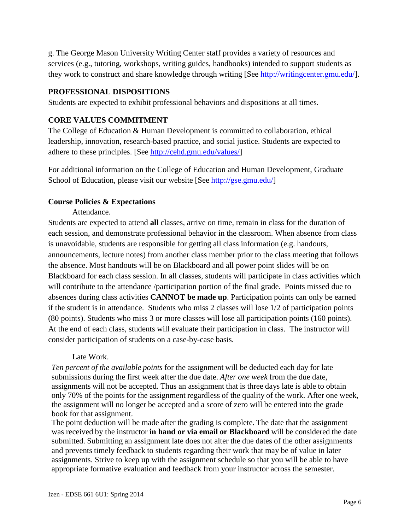g. The George Mason University Writing Center staff provides a variety of resources and services (e.g., tutoring, workshops, writing guides, handbooks) intended to support students as they work to construct and share knowledge through writing [See [http://writingcenter.gmu.edu/\]](http://writingcenter.gmu.edu/).

#### **PROFESSIONAL DISPOSITIONS**

Students are expected to exhibit professional behaviors and dispositions at all times.

# **CORE VALUES COMMITMENT**

The College of Education & Human Development is committed to collaboration, ethical leadership, innovation, research-based practice, and social justice. Students are expected to adhere to these principles. [See [http://cehd.gmu.edu/values/\]](http://cehd.gmu.edu/values/)

For additional information on the College of Education and Human Development, Graduate School of Education, please visit our website [See [http://gse.gmu.edu/\]](http://gse.gmu.edu/)

## **Course Policies & Expectations**

Attendance.

Students are expected to attend **all** classes, arrive on time, remain in class for the duration of each session, and demonstrate professional behavior in the classroom. When absence from class is unavoidable, students are responsible for getting all class information (e.g. handouts, announcements, lecture notes) from another class member prior to the class meeting that follows the absence. Most handouts will be on Blackboard and all power point slides will be on Blackboard for each class session. In all classes, students will participate in class activities which will contribute to the attendance /participation portion of the final grade. Points missed due to absences during class activities **CANNOT be made up**. Participation points can only be earned if the student is in attendance. Students who miss 2 classes will lose 1/2 of participation points (80 points). Students who miss 3 or more classes will lose all participation points (160 points). At the end of each class, students will evaluate their participation in class. The instructor will consider participation of students on a case-by-case basis.

## Late Work.

*Ten percent of the available points* for the assignment will be deducted each day for late submissions during the first week after the due date. *After one week* from the due date, assignments will not be accepted*.* Thus an assignment that is three days late is able to obtain only 70% of the points for the assignment regardless of the quality of the work. After one week, the assignment will no longer be accepted and a score of zero will be entered into the grade book for that assignment.

The point deduction will be made after the grading is complete. The date that the assignment was received by the instructor **in hand or via email or Blackboard** will be considered the date submitted. Submitting an assignment late does not alter the due dates of the other assignments and prevents timely feedback to students regarding their work that may be of value in later assignments. Strive to keep up with the assignment schedule so that you will be able to have appropriate formative evaluation and feedback from your instructor across the semester.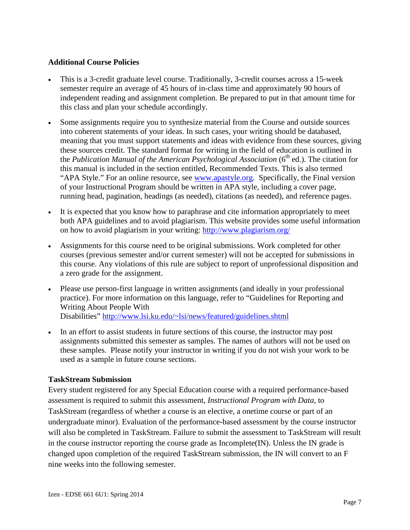#### **Additional Course Policies**

- This is a 3-credit graduate level course. Traditionally, 3-credit courses across a 15-week semester require an average of 45 hours of in-class time and approximately 90 hours of independent reading and assignment completion. Be prepared to put in that amount time for this class and plan your schedule accordingly.
- Some assignments require you to synthesize material from the Course and outside sources into coherent statements of your ideas. In such cases, your writing should be databased, meaning that you must support statements and ideas with evidence from these sources, giving these sources credit. The standard format for writing in the field of education is outlined in the *Publication Manual of the American Psychological Association* (6<sup>th</sup> ed.). The citation for this manual is included in the section entitled, Recommended Texts. This is also termed "APA Style." For an online resource, see [www.apastyle.org.](http://www.apastyle.org/) Specifically, the Final version of your Instructional Program should be written in APA style, including a cover page, running head, pagination, headings (as needed), citations (as needed), and reference pages.
- It is expected that you know how to paraphrase and cite information appropriately to meet both APA guidelines and to avoid plagiarism. This website provides some useful information on how to avoid plagiarism in your writing:<http://www.plagiarism.org/>
- Assignments for this course need to be original submissions. Work completed for other courses (previous semester and/or current semester) will not be accepted for submissions in this course. Any violations of this rule are subject to report of unprofessional disposition and a zero grade for the assignment.
- Please use person-first language in written assignments (and ideally in your professional practice). For more information on this language, refer to "Guidelines for Reporting and Writing About People With Disabilities"<http://www.lsi.ku.edu/~lsi/news/featured/guidelines.shtml>
- In an effort to assist students in future sections of this course, the instructor may post assignments submitted this semester as samples. The names of authors will not be used on these samples. Please notify your instructor in writing if you do not wish your work to be used as a sample in future course sections.

## **TaskStream Submission**

Every student registered for any Special Education course with a required performance-based assessment is required to submit this assessment, *Instructional Program with Data*, to TaskStream (regardless of whether a course is an elective, a onetime course or part of an undergraduate minor). Evaluation of the performance-based assessment by the course instructor will also be completed in TaskStream. Failure to submit the assessment to TaskStream will result in the course instructor reporting the course grade as Incomplete(IN). Unless the IN grade is changed upon completion of the required TaskStream submission, the IN will convert to an F nine weeks into the following semester.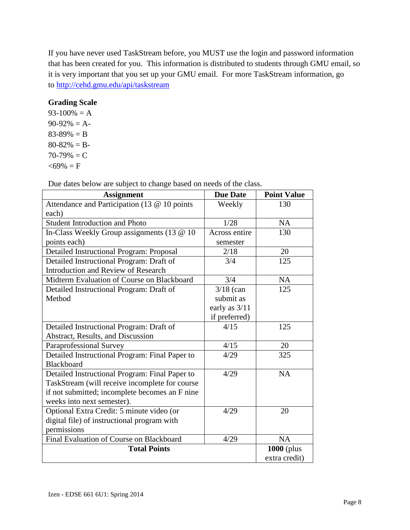If you have never used TaskStream before, you MUST use the login and password information that has been created for you. This information is distributed to students through GMU email, so it is very important that you set up your GMU email. For more TaskStream information, go to<http://cehd.gmu.edu/api/taskstream>

## **Grading Scale**

 $93-100% = A$  $90-92\% = A$  $83-89\% = B$  $80 - 82\% = B$  $70-79\% = C$  $<$ 69% = F

Due dates below are subject to change based on needs of the class.

| <b>Assignment</b>                               | <b>Due Date</b> | <b>Point Value</b> |
|-------------------------------------------------|-----------------|--------------------|
| Attendance and Participation (13 @ 10 points    | Weekly          | 130                |
| each)                                           |                 |                    |
| <b>Student Introduction and Photo</b>           | 1/28            | <b>NA</b>          |
| In-Class Weekly Group assignments (13 @ 10)     | Across entire   | 130                |
| points each)                                    | semester        |                    |
| <b>Detailed Instructional Program: Proposal</b> | 2/18            | 20                 |
| Detailed Instructional Program: Draft of        | 3/4             | 125                |
| <b>Introduction and Review of Research</b>      |                 |                    |
| Midterm Evaluation of Course on Blackboard      | 3/4             | <b>NA</b>          |
| Detailed Instructional Program: Draft of        | $3/18$ (can     | 125                |
| Method                                          | submit as       |                    |
|                                                 | early as $3/11$ |                    |
|                                                 | if preferred)   |                    |
| Detailed Instructional Program: Draft of        | 4/15            | 125                |
| Abstract, Results, and Discussion               |                 |                    |
| <b>Paraprofessional Survey</b>                  | 4/15            | 20                 |
| Detailed Instructional Program: Final Paper to  | 4/29            | 325                |
| <b>Blackboard</b>                               |                 |                    |
| Detailed Instructional Program: Final Paper to  | 4/29            | <b>NA</b>          |
| TaskStream (will receive incomplete for course  |                 |                    |
| if not submitted; incomplete becomes an F nine  |                 |                    |
| weeks into next semester).                      |                 |                    |
| Optional Extra Credit: 5 minute video (or       | 4/29            | 20                 |
| digital file) of instructional program with     |                 |                    |
| permissions                                     |                 |                    |
| Final Evaluation of Course on Blackboard        | 4/29            | <b>NA</b>          |
| <b>Total Points</b>                             |                 | <b>1000</b> (plus  |
|                                                 |                 | extra credit)      |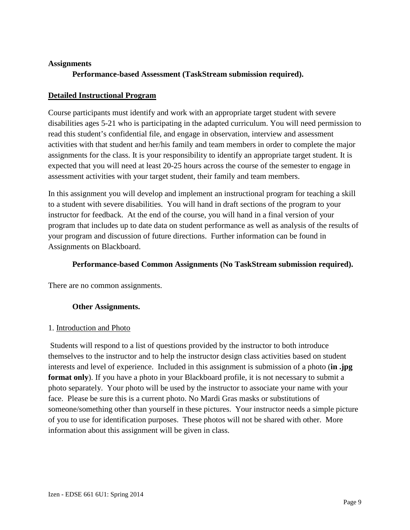#### **Assignments**

# **Performance-based Assessment (TaskStream submission required).**

#### **Detailed Instructional Program**

Course participants must identify and work with an appropriate target student with severe disabilities ages 5-21 who is participating in the adapted curriculum. You will need permission to read this student's confidential file, and engage in observation, interview and assessment activities with that student and her/his family and team members in order to complete the major assignments for the class. It is your responsibility to identify an appropriate target student. It is expected that you will need at least 20-25 hours across the course of the semester to engage in assessment activities with your target student, their family and team members.

In this assignment you will develop and implement an instructional program for teaching a skill to a student with severe disabilities. You will hand in draft sections of the program to your instructor for feedback. At the end of the course, you will hand in a final version of your program that includes up to date data on student performance as well as analysis of the results of your program and discussion of future directions. Further information can be found in Assignments on Blackboard.

#### **Performance-based Common Assignments (No TaskStream submission required).**

There are no common assignments.

## **Other Assignments.**

#### 1. Introduction and Photo

Students will respond to a list of questions provided by the instructor to both introduce themselves to the instructor and to help the instructor design class activities based on student interests and level of experience. Included in this assignment is submission of a photo (**in .jpg format only**). If you have a photo in your Blackboard profile, it is not necessary to submit a photo separately. Your photo will be used by the instructor to associate your name with your face. Please be sure this is a current photo. No Mardi Gras masks or substitutions of someone/something other than yourself in these pictures. Your instructor needs a simple picture of you to use for identification purposes. These photos will not be shared with other. More information about this assignment will be given in class.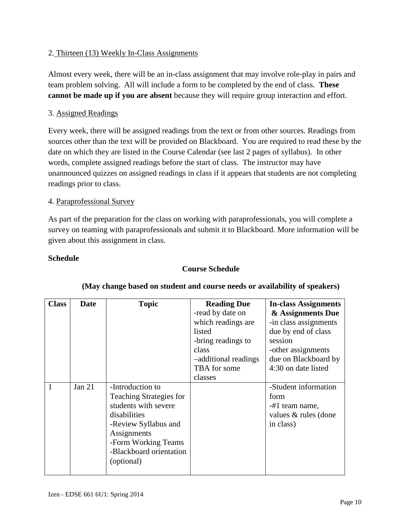## 2. Thirteen (13) Weekly In-Class Assignments

Almost every week, there will be an in-class assignment that may involve role-play in pairs and team problem solving. All will include a form to be completed by the end of class. **These cannot be made up if you are absent** because they will require group interaction and effort.

#### 3. Assigned Readings

Every week, there will be assigned readings from the text or from other sources. Readings from sources other than the text will be provided on Blackboard. You are required to read these by the date on which they are listed in the Course Calendar (see last 2 pages of syllabus). In other words, complete assigned readings before the start of class. The instructor may have unannounced quizzes on assigned readings in class if it appears that students are not completing readings prior to class.

#### 4. Paraprofessional Survey

As part of the preparation for the class on working with paraprofessionals, you will complete a survey on teaming with paraprofessionals and submit it to Blackboard. More information will be given about this assignment in class.

#### **Schedule**

#### **Course Schedule**

| <b>Class</b> | <b>Date</b> | <b>Topic</b>                   | <b>Reading Due</b>   | <b>In-class Assignments</b> |
|--------------|-------------|--------------------------------|----------------------|-----------------------------|
|              |             |                                | -read by date on     | & Assignments Due           |
|              |             |                                | which readings are.  | -in class assignments       |
|              |             |                                | listed               | due by end of class         |
|              |             |                                | -bring readings to   | session                     |
|              |             |                                | class                | -other assignments          |
|              |             |                                | -additional readings | due on Blackboard by        |
|              |             |                                | TBA for some         | 4:30 on date listed         |
|              |             |                                | classes              |                             |
|              | Jan $21$    | -Introduction to               |                      | -Student information        |
|              |             | <b>Teaching Strategies for</b> |                      | form                        |
|              |             | students with severe           |                      | -#1 team name,              |
|              |             | disabilities                   |                      | values & rules (done        |
|              |             | -Review Syllabus and           |                      | in class)                   |
|              |             | Assignments                    |                      |                             |
|              |             | -Form Working Teams            |                      |                             |
|              |             | -Blackboard orientation        |                      |                             |
|              |             | (optional)                     |                      |                             |
|              |             |                                |                      |                             |

#### **(May change based on student and course needs or availability of speakers)**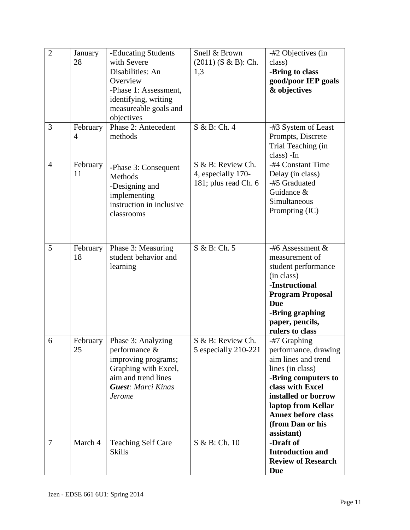| $\overline{2}$ | January<br>28  | -Educating Students<br>with Severe<br>Disabilities: An<br>Overview<br>-Phase 1: Assessment,<br>identifying, writing<br>measureable goals and<br>objectives | Snell & Brown<br>$(2011)$ (S & B): Ch.<br>1,3<br>S & B: Ch. 4   | -#2 Objectives (in<br>class)<br>-Bring to class<br>good/poor IEP goals<br>& objectives                                                                                                                                                 |
|----------------|----------------|------------------------------------------------------------------------------------------------------------------------------------------------------------|-----------------------------------------------------------------|----------------------------------------------------------------------------------------------------------------------------------------------------------------------------------------------------------------------------------------|
| 3              | February<br>4  | Phase 2: Antecedent<br>methods                                                                                                                             |                                                                 | -#3 System of Least<br>Prompts, Discrete<br>Trial Teaching (in<br>class) - In                                                                                                                                                          |
| $\overline{4}$ | February<br>11 | -Phase 3: Consequent<br>Methods<br>-Designing and<br>implementing<br>instruction in inclusive<br>classrooms                                                | S & B: Review Ch.<br>4, especially 170-<br>181; plus read Ch. 6 | -#4 Constant Time<br>Delay (in class)<br>-#5 Graduated<br>Guidance &<br>Simultaneous<br>Prompting (IC)                                                                                                                                 |
| 5              | February<br>18 | Phase 3: Measuring<br>student behavior and<br>learning                                                                                                     | S & B: Ch. 5                                                    | -#6 Assessment $&$<br>measurement of<br>student performance<br>(in class)<br>-Instructional<br><b>Program Proposal</b><br><b>Due</b><br>-Bring graphing<br>paper, pencils,<br>rulers to class                                          |
| 6              | February<br>25 | Phase 3: Analyzing<br>performance $\&$<br>improving programs;<br>Graphing with Excel,<br>aim and trend lines<br><b>Guest: Marci Kinas</b><br><b>Jerome</b> | S & B: Review Ch.<br>5 especially 210-221                       | -#7 Graphing<br>performance, drawing<br>aim lines and trend<br>lines (in class)<br>-Bring computers to<br>class with Excel<br>installed or borrow<br>laptop from Kellar<br><b>Annex before class</b><br>(from Dan or his<br>assistant) |
| 7              | March 4        | <b>Teaching Self Care</b><br><b>Skills</b>                                                                                                                 | S & B: Ch. 10                                                   | -Draft of<br><b>Introduction and</b><br><b>Review of Research</b><br><b>Due</b>                                                                                                                                                        |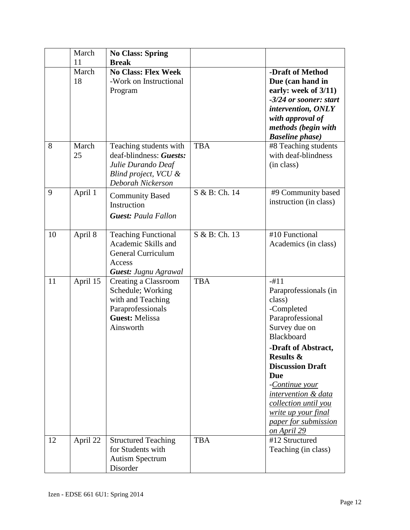|    | March<br>11 | <b>No Class: Spring</b><br><b>Break</b>                                                                                   |               |                                                                                                                                                                                             |
|----|-------------|---------------------------------------------------------------------------------------------------------------------------|---------------|---------------------------------------------------------------------------------------------------------------------------------------------------------------------------------------------|
|    | March<br>18 | <b>No Class: Flex Week</b><br>-Work on Instructional<br>Program                                                           |               | -Draft of Method<br>Due (can hand in<br>early: week of 3/11)<br>-3/24 or sooner: start<br>intervention, ONLY<br>with approval of<br>methods (begin with<br><b>Baseline phase</b> )          |
| 8  | March<br>25 | Teaching students with<br>deaf-blindness: Guests:<br>Julie Durando Deaf<br>Blind project, VCU &<br>Deborah Nickerson      | <b>TBA</b>    | #8 Teaching students<br>with deaf-blindness<br>(in class)                                                                                                                                   |
| 9  | April 1     | <b>Community Based</b><br>Instruction<br><b>Guest: Paula Fallon</b>                                                       | S & B: Ch. 14 | #9 Community based<br>instruction (in class)                                                                                                                                                |
| 10 | April 8     | <b>Teaching Functional</b><br>Academic Skills and<br><b>General Curriculum</b><br>Access<br><b>Guest: Jugnu Agrawal</b>   | S & B: Ch. 13 | #10 Functional<br>Academics (in class)                                                                                                                                                      |
| 11 | April 15    | Creating a Classroom<br>Schedule; Working<br>with and Teaching<br>Paraprofessionals<br><b>Guest: Melissa</b><br>Ainsworth | <b>TBA</b>    | $-#11$<br>Paraprofessionals (in<br>class)<br>-Completed<br>Paraprofessional<br>Survey due on<br><b>Blackboard</b><br>-Draft of Abstract,<br><b>Results &amp;</b><br><b>Discussion Draft</b> |
|    |             |                                                                                                                           |               | Due<br>-Continue your<br>intervention & data<br>collection until you<br>write up your final<br>paper for submission<br>on April 29                                                          |
| 12 | April 22    | <b>Structured Teaching</b><br>for Students with<br><b>Autism Spectrum</b><br>Disorder                                     | <b>TBA</b>    | #12 Structured<br>Teaching (in class)                                                                                                                                                       |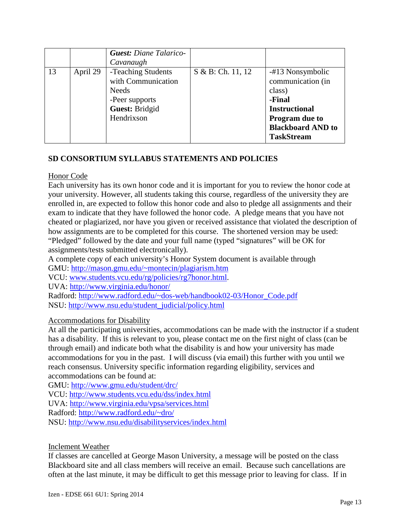|    |          | <b>Guest: Diane Talarico-</b><br>Cavanaugh                                                                 |                   |                                                                                                                                                      |
|----|----------|------------------------------------------------------------------------------------------------------------|-------------------|------------------------------------------------------------------------------------------------------------------------------------------------------|
| 13 | April 29 | -Teaching Students<br>with Communication<br><b>Needs</b><br>-Peer supports<br>Guest: Bridgid<br>Hendrixson | S & B: Ch. 11, 12 | -#13 Nonsymbolic<br>communication (in<br>class)<br>-Final<br><b>Instructional</b><br>Program due to<br><b>Blackboard AND to</b><br><b>TaskStream</b> |

# **SD CONSORTIUM SYLLABUS STATEMENTS AND POLICIES**

#### Honor Code

Each university has its own honor code and it is important for you to review the honor code at your university. However, all students taking this course, regardless of the university they are enrolled in, are expected to follow this honor code and also to pledge all assignments and their exam to indicate that they have followed the honor code. A pledge means that you have not cheated or plagiarized, nor have you given or received assistance that violated the description of how assignments are to be completed for this course. The shortened version may be used: "Pledged" followed by the date and your full name (typed "signatures" will be OK for assignments/tests submitted electronically).

A complete copy of each university's Honor System document is available through

GMU:<http://mason.gmu.edu/~montecin/plagiarism.htm>

VCU: [www.students.vcu.edu/rg/policies/rg7honor.html.](http://www.students.vcu.edu/rg/policies/rg7honor.html)

UVA:<http://www.virginia.edu/honor/>

Radford: [http://www.radford.edu/~dos-web/handbook02-03/Honor\\_Code.pdf](http://www.radford.edu/~dos-web/handbook02-03/Honor_Code.pdf) NSU: [http://www.nsu.edu/student\\_judicial/policy.html](http://www.nsu.edu/student_judicial/policy.html)

## Accommodations for Disability

At all the participating universities, accommodations can be made with the instructor if a student has a disability. If this is relevant to you, please contact me on the first night of class (can be through email) and indicate both what the disability is and how your university has made accommodations for you in the past. I will discuss (via email) this further with you until we reach consensus. University specific information regarding eligibility, services and accommodations can be found at:

GMU:<http://www.gmu.edu/student/drc/> VCU:<http://www.students.vcu.edu/dss/index.html> UVA:<http://www.virginia.edu/vpsa/services.html> Radford:<http://www.radford.edu/~dro/> NSU:<http://www.nsu.edu/disabilityservices/index.html>

#### Inclement Weather

If classes are cancelled at George Mason University, a message will be posted on the class Blackboard site and all class members will receive an email. Because such cancellations are often at the last minute, it may be difficult to get this message prior to leaving for class. If in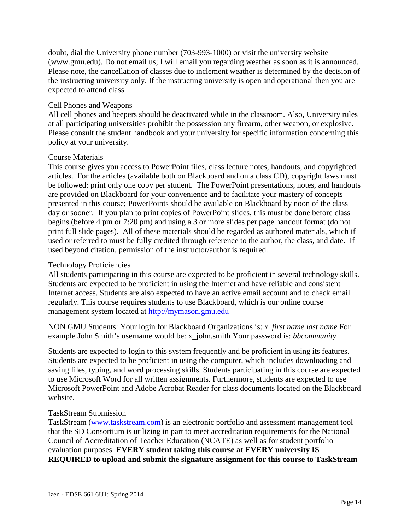doubt, dial the University phone number (703-993-1000) or visit the university website (www.gmu.edu). Do not email us; I will email you regarding weather as soon as it is announced. Please note, the cancellation of classes due to inclement weather is determined by the decision of the instructing university only. If the instructing university is open and operational then you are expected to attend class.

#### Cell Phones and Weapons

All cell phones and beepers should be deactivated while in the classroom. Also, University rules at all participating universities prohibit the possession any firearm, other weapon, or explosive. Please consult the student handbook and your university for specific information concerning this policy at your university.

#### Course Materials

This course gives you access to PowerPoint files, class lecture notes, handouts, and copyrighted articles. For the articles (available both on Blackboard and on a class CD), copyright laws must be followed: print only one copy per student. The PowerPoint presentations, notes, and handouts are provided on Blackboard for your convenience and to facilitate your mastery of concepts presented in this course; PowerPoints should be available on Blackboard by noon of the class day or sooner. If you plan to print copies of PowerPoint slides, this must be done before class begins (before 4 pm or 7:20 pm) and using a 3 or more slides per page handout format (do not print full slide pages). All of these materials should be regarded as authored materials, which if used or referred to must be fully credited through reference to the author, the class, and date. If used beyond citation, permission of the instructor/author is required.

#### Technology Proficiencies

All students participating in this course are expected to be proficient in several technology skills. Students are expected to be proficient in using the Internet and have reliable and consistent Internet access. Students are also expected to have an active email account and to check email regularly. This course requires students to use Blackboard, which is our online course management system located at [http://mymason.gmu.edu](http://mymason.gmu.edu/) 

NON GMU Students: Your login for Blackboard Organizations is: *x\_first name.last name* For example John Smith's username would be: x\_john.smith Your password is: *bbcommunity*

Students are expected to login to this system frequently and be proficient in using its features. Students are expected to be proficient in using the computer, which includes downloading and saving files, typing, and word processing skills. Students participating in this course are expected to use Microsoft Word for all written assignments. Furthermore, students are expected to use Microsoft PowerPoint and Adobe Acrobat Reader for class documents located on the Blackboard website.

#### TaskStream Submission

TaskStream [\(www.taskstream.com\)](http://www.taskstream.com/) is an electronic portfolio and assessment management tool that the SD Consortium is utilizing in part to meet accreditation requirements for the National Council of Accreditation of Teacher Education (NCATE) as well as for student portfolio evaluation purposes. **EVERY student taking this course at EVERY university IS REQUIRED to upload and submit the signature assignment for this course to TaskStream**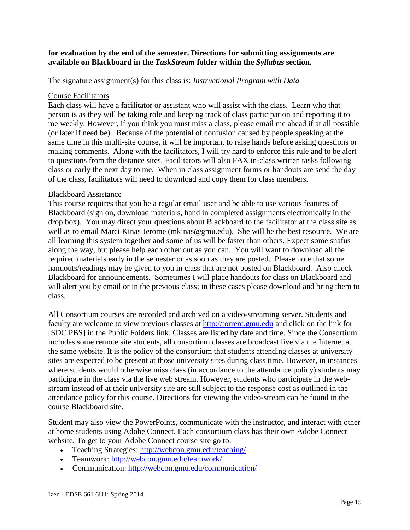#### **for evaluation by the end of the semester. Directions for submitting assignments are available on Blackboard in the** *TaskStream* **folder within the** *Syllabus* **section.**

The signature assignment(s) for this class is: *Instructional Program with Data*

#### Course Facilitators

Each class will have a facilitator or assistant who will assist with the class. Learn who that person is as they will be taking role and keeping track of class participation and reporting it to me weekly. However, if you think you must miss a class, please email me ahead if at all possible (or later if need be). Because of the potential of confusion caused by people speaking at the same time in this multi-site course, it will be important to raise hands before asking questions or making comments. Along with the facilitators, I will try hard to enforce this rule and to be alert to questions from the distance sites. Facilitators will also FAX in-class written tasks following class or early the next day to me. When in class assignment forms or handouts are send the day of the class, facilitators will need to download and copy them for class members.

#### Blackboard Assistance

This course requires that you be a regular email user and be able to use various features of Blackboard (sign on, download materials, hand in completed assignments electronically in the drop box). You may direct your questions about Blackboard to the facilitator at the class site as well as to email Marci Kinas Jerome (mkinas@gmu.edu). She will be the best resource. We are all learning this system together and some of us will be faster than others. Expect some snafus along the way, but please help each other out as you can. You will want to download all the required materials early in the semester or as soon as they are posted. Please note that some handouts/readings may be given to you in class that are not posted on Blackboard. Also check Blackboard for announcements. Sometimes I will place handouts for class on Blackboard and will alert you by email or in the previous class; in these cases please download and bring them to class.

All Consortium courses are recorded and archived on a video-streaming server. Students and faculty are welcome to view previous classes at [http://torrent.gmu.edu](http://torrent.gmu.edu/) and click on the link for [SDC PBS] in the Public Folders link. Classes are listed by date and time. Since the Consortium includes some remote site students, all consortium classes are broadcast live via the Internet at the same website. It is the policy of the consortium that students attending classes at university sites are expected to be present at those university sites during class time. However, in instances where students would otherwise miss class (in accordance to the attendance policy) students may participate in the class via the live web stream. However, students who participate in the webstream instead of at their university site are still subject to the response cost as outlined in the attendance policy for this course. Directions for viewing the video-stream can be found in the course Blackboard site.

Student may also view the PowerPoints, communicate with the instructor, and interact with other at home students using Adobe Connect. Each consortium class has their own Adobe Connect website. To get to your Adobe Connect course site go to:

- Teaching Strategies:<http://webcon.gmu.edu/teaching/>
- Teamwork:<http://webcon.gmu.edu/teamwork/>
- Communication:<http://webcon.gmu.edu/communication/>